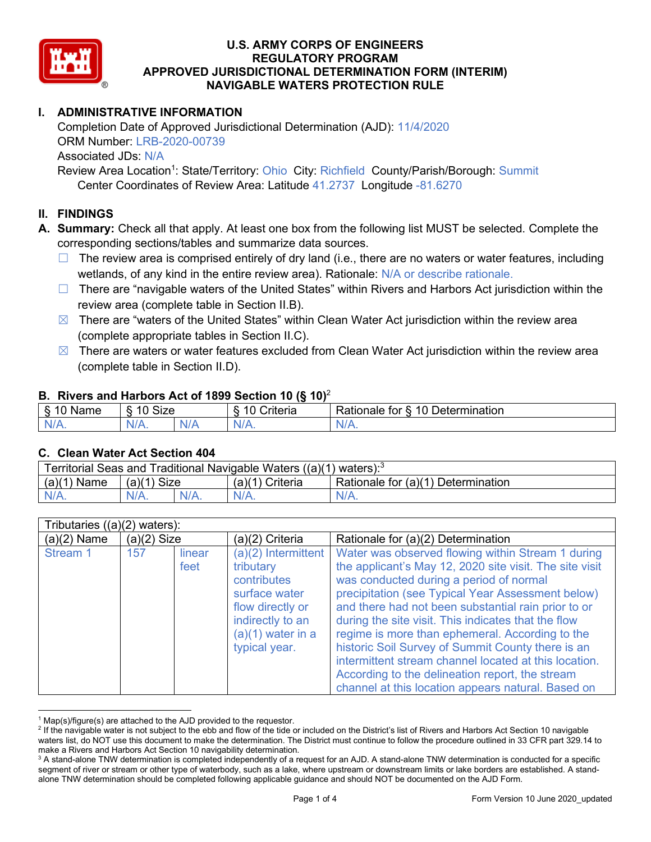

# **I. ADMINISTRATIVE INFORMATION**

Completion Date of Approved Jurisdictional Determination (AJD): 11/4/2020 ORM Number: LRB-2020-00739 Associated JDs: N/A Review Area Location<sup>1</sup>: State/Territory: Ohio City: Richfield County/Parish/Borough: Summit

Center Coordinates of Review Area: Latitude 41.2737 Longitude -81.6270

# **II. FINDINGS**

**A. Summary:** Check all that apply. At least one box from the following list MUST be selected. Complete the corresponding sections/tables and summarize data sources.

- $\Box$  The review area is comprised entirely of dry land (i.e., there are no waters or water features, including wetlands, of any kind in the entire review area). Rationale: N/A or describe rationale.
- $\Box$  There are "navigable waters of the United States" within Rivers and Harbors Act jurisdiction within the review area (complete table in Section II.B).
- $\boxtimes$  There are "waters of the United States" within Clean Water Act jurisdiction within the review area (complete appropriate tables in Section II.C).
- $\boxtimes$  There are waters or water features excluded from Clean Water Act jurisdiction within the review area (complete table in Section II.D).

#### **B. Rivers and Harbors Act of 1899 Section 10 (§ 10)**<sup>2</sup>

| $\cdot$                   |                      |        |                                                             |                                                 |  |  |  |
|---------------------------|----------------------|--------|-------------------------------------------------------------|-------------------------------------------------|--|--|--|
| $\sim$<br>$-$<br>ame<br>◡ | 10<br>$\sim$<br>SIZE |        | .<br>10<br>$^{\circ}$ rıt $\cap$ rı $\cap$<br><b>AILCIT</b> | Determination<br>$\sqrt{ }$<br>Rationale<br>tor |  |  |  |
| $N/A$ .                   | ו גו<br>97 / TV .    | w<br>. | $N/A$ .                                                     | $N_{\ell}$<br>$\mathbf{v}$                      |  |  |  |

#### **C. Clean Water Act Section 404**

| Territorial Seas and Traditional Navigable Waters $((a)(1)$ waters): <sup>3</sup> |                |  |                 |                                    |  |  |
|-----------------------------------------------------------------------------------|----------------|--|-----------------|------------------------------------|--|--|
| (a)(1)<br>Name                                                                    | Size<br>(a)(1) |  | (a)(1) Criteria | Rationale for (a)(1) Determination |  |  |
|                                                                                   | $N/A$ .        |  | $N/A$ .         | $N/A$ .                            |  |  |

| Tributaries $((a)(2)$ waters): |               |                |                                                                                                                                                  |                                                                                                                                                                                                                                                                                                                                                                                                                                                                                                                                                                                                      |  |
|--------------------------------|---------------|----------------|--------------------------------------------------------------------------------------------------------------------------------------------------|------------------------------------------------------------------------------------------------------------------------------------------------------------------------------------------------------------------------------------------------------------------------------------------------------------------------------------------------------------------------------------------------------------------------------------------------------------------------------------------------------------------------------------------------------------------------------------------------------|--|
| (a)(2) Name                    | $(a)(2)$ Size |                | (a)(2) Criteria                                                                                                                                  | Rationale for (a)(2) Determination                                                                                                                                                                                                                                                                                                                                                                                                                                                                                                                                                                   |  |
| Stream 1                       | 157           | linear<br>feet | (a)(2) Intermittent<br>tributary<br>contributes<br>surface water<br>flow directly or<br>indirectly to an<br>$(a)(1)$ water in a<br>typical year. | Water was observed flowing within Stream 1 during<br>the applicant's May 12, 2020 site visit. The site visit<br>was conducted during a period of normal<br>precipitation (see Typical Year Assessment below)<br>and there had not been substantial rain prior to or<br>during the site visit. This indicates that the flow<br>regime is more than ephemeral. According to the<br>historic Soil Survey of Summit County there is an<br>intermittent stream channel located at this location.<br>According to the delineation report, the stream<br>channel at this location appears natural. Based on |  |

 $1$  Map(s)/figure(s) are attached to the AJD provided to the requestor.

<sup>&</sup>lt;sup>2</sup> If the navigable water is not subject to the ebb and flow of the tide or included on the District's list of Rivers and Harbors Act Section 10 navigable waters list, do NOT use this document to make the determination. The District must continue to follow the procedure outlined in 33 CFR part 329.14 to make a Rivers and Harbors Act Section 10 navigability determination.

<sup>&</sup>lt;sup>3</sup> A stand-alone TNW determination is completed independently of a request for an AJD. A stand-alone TNW determination is conducted for a specific segment of river or stream or other type of waterbody, such as a lake, where upstream or downstream limits or lake borders are established. A standalone TNW determination should be completed following applicable guidance and should NOT be documented on the AJD Form.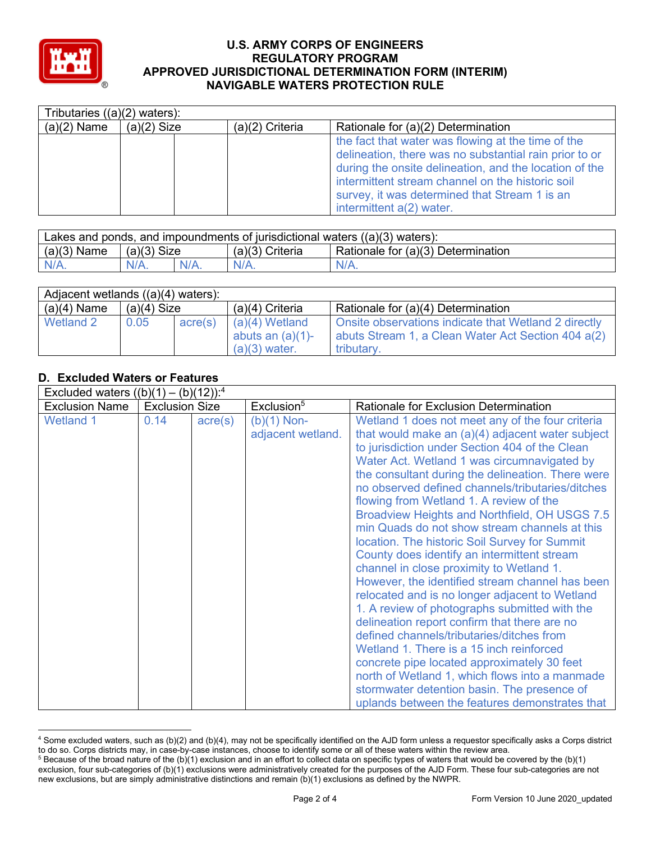

|               | Tributaries $((a)(2)$ waters): |                   |                                                                                                                                                                                                                                                                                                         |  |  |  |
|---------------|--------------------------------|-------------------|---------------------------------------------------------------------------------------------------------------------------------------------------------------------------------------------------------------------------------------------------------------------------------------------------------|--|--|--|
| $(a)(2)$ Name | $(a)(2)$ Size                  | $(a)(2)$ Criteria | Rationale for (a)(2) Determination                                                                                                                                                                                                                                                                      |  |  |  |
|               |                                |                   | the fact that water was flowing at the time of the<br>delineation, there was no substantial rain prior to or<br>during the onsite delineation, and the location of the<br>intermittent stream channel on the historic soil<br>survey, it was determined that Stream 1 is an<br>intermittent a(2) water. |  |  |  |

| Lakes and ponds, and impoundments of jurisdictional waters $((a)(3)$ waters): |               |         |                                                         |         |  |
|-------------------------------------------------------------------------------|---------------|---------|---------------------------------------------------------|---------|--|
| $(a)(3)$ Name                                                                 | $(a)(3)$ Size |         | Rationale for (a)(3) Determination<br>$(a)(3)$ Criteria |         |  |
| $N/A$ .                                                                       | $N/A$ .       | $N/A$ . | $N/A$ .                                                 | $N/A$ . |  |

| Adjacent wetlands $((a)(4)$ waters): |               |         |                                                            |                                                                                                                          |  |  |
|--------------------------------------|---------------|---------|------------------------------------------------------------|--------------------------------------------------------------------------------------------------------------------------|--|--|
| $(a)(4)$ Name                        | $(a)(4)$ Size |         | $(a)(4)$ Criteria                                          | Rationale for (a)(4) Determination                                                                                       |  |  |
| Wetland 2                            | 0.05          | acre(s) | $(a)(4)$ Wetland<br>abuts an $(a)(1)$ -<br>$(a)(3)$ water. | Onsite observations indicate that Wetland 2 directly<br>abuts Stream 1, a Clean Water Act Section 404 a(2)<br>tributary. |  |  |

# **D. Excluded Waters or Features**

| Excluded waters $((b)(1) -$ |                       | $(b)(12))$ : <sup>4</sup> |                                    |                                                                                                                                                                                                                                                                                                                                                                                                                                                                                                                                                                                                                                                                                                                                                                                                                                                                                                                                                                                                                                                          |
|-----------------------------|-----------------------|---------------------------|------------------------------------|----------------------------------------------------------------------------------------------------------------------------------------------------------------------------------------------------------------------------------------------------------------------------------------------------------------------------------------------------------------------------------------------------------------------------------------------------------------------------------------------------------------------------------------------------------------------------------------------------------------------------------------------------------------------------------------------------------------------------------------------------------------------------------------------------------------------------------------------------------------------------------------------------------------------------------------------------------------------------------------------------------------------------------------------------------|
| <b>Exclusion Name</b>       | <b>Exclusion Size</b> |                           | Exclusion <sup>5</sup>             | Rationale for Exclusion Determination                                                                                                                                                                                                                                                                                                                                                                                                                                                                                                                                                                                                                                                                                                                                                                                                                                                                                                                                                                                                                    |
| <b>Wetland 1</b>            | 0.14                  | $\text{acre}(s)$          | $(b)(1)$ Non-<br>adjacent wetland. | Wetland 1 does not meet any of the four criteria<br>that would make an $(a)(4)$ adjacent water subject<br>to jurisdiction under Section 404 of the Clean<br>Water Act. Wetland 1 was circumnavigated by<br>the consultant during the delineation. There were<br>no observed defined channels/tributaries/ditches<br>flowing from Wetland 1. A review of the<br>Broadview Heights and Northfield, OH USGS 7.5<br>min Quads do not show stream channels at this<br>location. The historic Soil Survey for Summit<br>County does identify an intermittent stream<br>channel in close proximity to Wetland 1.<br>However, the identified stream channel has been<br>relocated and is no longer adjacent to Wetland<br>1. A review of photographs submitted with the<br>delineation report confirm that there are no<br>defined channels/tributaries/ditches from<br>Wetland 1. There is a 15 inch reinforced<br>concrete pipe located approximately 30 feet<br>north of Wetland 1, which flows into a manmade<br>stormwater detention basin. The presence of |
|                             |                       |                           |                                    | uplands between the features demonstrates that                                                                                                                                                                                                                                                                                                                                                                                                                                                                                                                                                                                                                                                                                                                                                                                                                                                                                                                                                                                                           |

<sup>4</sup> Some excluded waters, such as (b)(2) and (b)(4), may not be specifically identified on the AJD form unless a requestor specifically asks a Corps district to do so. Corps districts may, in case-by-case instances, choose to identify some or all of these waters within the review area.

 $5$  Because of the broad nature of the (b)(1) exclusion and in an effort to collect data on specific types of waters that would be covered by the (b)(1) exclusion, four sub-categories of (b)(1) exclusions were administratively created for the purposes of the AJD Form. These four sub-categories are not new exclusions, but are simply administrative distinctions and remain (b)(1) exclusions as defined by the NWPR.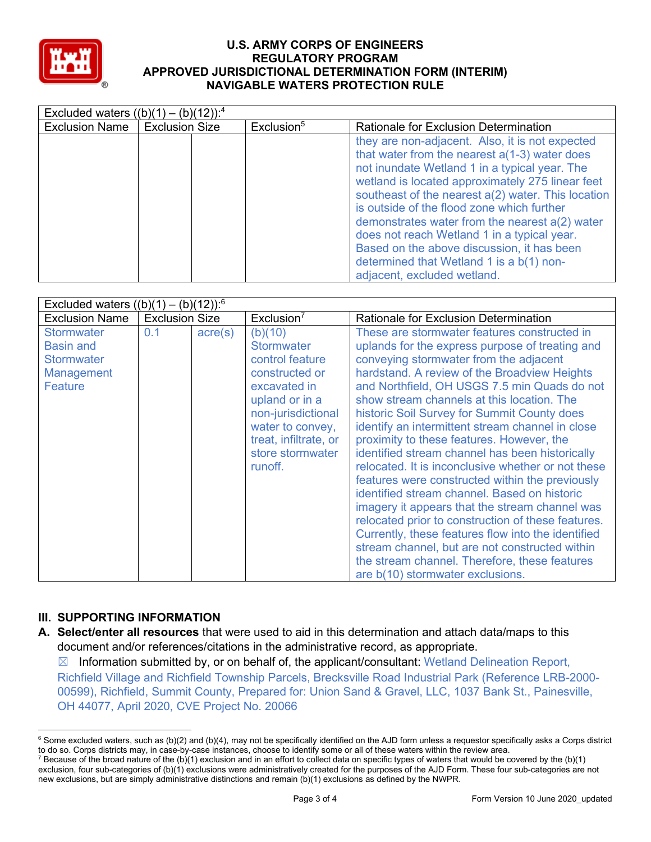

|                       | Excluded waters $((b)(1) - (b)(12))$ : <sup>4</sup> |                        |                                                                                                                                                                                                                                                                                                                                                                                                                                                                                                                                       |  |  |
|-----------------------|-----------------------------------------------------|------------------------|---------------------------------------------------------------------------------------------------------------------------------------------------------------------------------------------------------------------------------------------------------------------------------------------------------------------------------------------------------------------------------------------------------------------------------------------------------------------------------------------------------------------------------------|--|--|
| <b>Exclusion Name</b> | <b>Exclusion Size</b>                               | Exclusion <sup>5</sup> | <b>Rationale for Exclusion Determination</b>                                                                                                                                                                                                                                                                                                                                                                                                                                                                                          |  |  |
|                       |                                                     |                        | they are non-adjacent. Also, it is not expected<br>that water from the nearest $a(1-3)$ water does<br>not inundate Wetland 1 in a typical year. The<br>wetland is located approximately 275 linear feet<br>southeast of the nearest a(2) water. This location<br>is outside of the flood zone which further<br>demonstrates water from the nearest a(2) water<br>does not reach Wetland 1 in a typical year.<br>Based on the above discussion, it has been<br>determined that Wetland 1 is a b(1) non-<br>adjacent, excluded wetland. |  |  |

| Excluded waters $((b)(1) - (b)(12))$ : <sup>6</sup>                                 |                       |                  |                                                                                                                                                                                                       |                                                                                                                                                                                                                                                                                                                                                                                                                                                                                                                                                                                                                                                                                                                                                                                                                                                                                                                                                          |  |
|-------------------------------------------------------------------------------------|-----------------------|------------------|-------------------------------------------------------------------------------------------------------------------------------------------------------------------------------------------------------|----------------------------------------------------------------------------------------------------------------------------------------------------------------------------------------------------------------------------------------------------------------------------------------------------------------------------------------------------------------------------------------------------------------------------------------------------------------------------------------------------------------------------------------------------------------------------------------------------------------------------------------------------------------------------------------------------------------------------------------------------------------------------------------------------------------------------------------------------------------------------------------------------------------------------------------------------------|--|
| <b>Exclusion Name</b>                                                               | <b>Exclusion Size</b> |                  | Exclusion <sup>7</sup>                                                                                                                                                                                | Rationale for Exclusion Determination                                                                                                                                                                                                                                                                                                                                                                                                                                                                                                                                                                                                                                                                                                                                                                                                                                                                                                                    |  |
| <b>Stormwater</b><br><b>Basin and</b><br><b>Stormwater</b><br>Management<br>Feature | 0.1                   | $\text{acre}(s)$ | (b)(10)<br><b>Stormwater</b><br>control feature<br>constructed or<br>excavated in<br>upland or in a<br>non-jurisdictional<br>water to convey,<br>treat, infiltrate, or<br>store stormwater<br>runoff. | These are stormwater features constructed in<br>uplands for the express purpose of treating and<br>conveying stormwater from the adjacent<br>hardstand. A review of the Broadview Heights<br>and Northfield, OH USGS 7.5 min Quads do not<br>show stream channels at this location. The<br>historic Soil Survey for Summit County does<br>identify an intermittent stream channel in close<br>proximity to these features. However, the<br>identified stream channel has been historically<br>relocated. It is inconclusive whether or not these<br>features were constructed within the previously<br>identified stream channel. Based on historic<br>imagery it appears that the stream channel was<br>relocated prior to construction of these features.<br>Currently, these features flow into the identified<br>stream channel, but are not constructed within<br>the stream channel. Therefore, these features<br>are b(10) stormwater exclusions. |  |

# **III. SUPPORTING INFORMATION**

**A. Select/enter all resources** that were used to aid in this determination and attach data/maps to this document and/or references/citations in the administrative record, as appropriate.

 $\boxtimes$  Information submitted by, or on behalf of, the applicant/consultant: Wetland Delineation Report, Richfield Village and Richfield Township Parcels, Brecksville Road Industrial Park (Reference LRB-2000- 00599), Richfield, Summit County, Prepared for: Union Sand & Gravel, LLC, 1037 Bank St., Painesville, OH 44077, April 2020, CVE Project No. 20066

 $6$  Some excluded waters, such as (b)(2) and (b)(4), may not be specifically identified on the AJD form unless a requestor specifically asks a Corps district to do so. Corps districts may, in case-by-case instances, choose to identify some or all of these waters within the review area.

<sup>&</sup>lt;sup>7</sup> Because of the broad nature of the (b)(1) exclusion and in an effort to collect data on specific types of waters that would be covered by the (b)(1) exclusion, four sub-categories of (b)(1) exclusions were administratively created for the purposes of the AJD Form. These four sub-categories are not new exclusions, but are simply administrative distinctions and remain (b)(1) exclusions as defined by the NWPR.